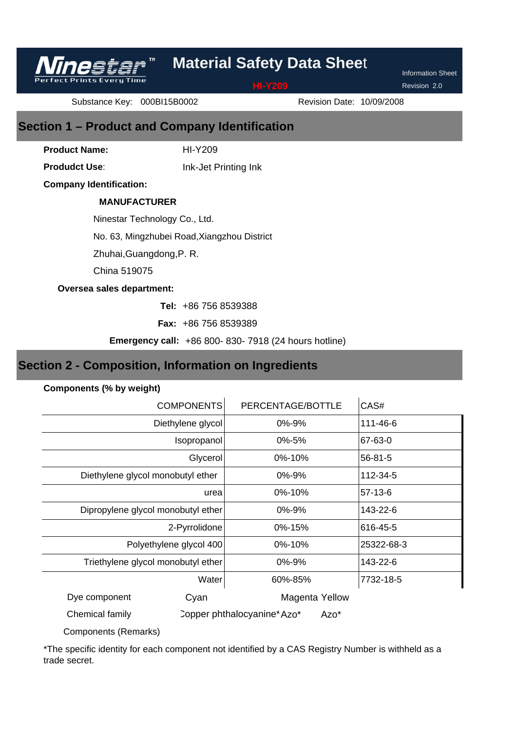Revision 2.0

Information Sheet

Substance Key: 000BI15B0002

**Prints Every Time** 

Revision Date: 10/09/2008

# **Section 1 – Product and Company Identification**

HI-Y209

**Product Name: Produdct Use**:

Ink-Jet Printing Ink

**Company Identification:**

## **MANUFACTURER**

Ninestar Technology Co., Ltd.

No. 63, Mingzhubei Road,Xiangzhou District

Zhuhai,Guangdong,P. R.

China 519075

## **Oversea sales department:**

+86 756 8539388 **Tel:** 

+86 756 8539389 **Fax:** 

**Emergency call:** +86 800- 830- 7918 (24 hours hotline)

# **Section 2 - Composition, Information on Ingredients**

## **Components (% by weight)**

| <b>COMPONENTS</b>                  |       | PERCENTAGE/BOTTLE           |      | CAS#          |
|------------------------------------|-------|-----------------------------|------|---------------|
| Diethylene glycol                  |       | 0%-9%                       |      | 111-46-6      |
| Isopropanol                        |       | $0\% - 5\%$                 |      | 67-63-0       |
| Glycerol                           |       | 0%-10%                      |      | $56 - 81 - 5$ |
| Diethylene glycol monobutyl ether  |       | 0%-9%                       |      | 112-34-5      |
|                                    | urea  | 0%-10%                      |      | $57-13-6$     |
| Dipropylene glycol monobutyl ether |       | 0%-9%                       |      | 143-22-6      |
| 2-Pyrrolidone                      |       | 0%-15%                      |      | 616-45-5      |
| Polyethylene glycol 400            |       | 0%-10%                      |      | 25322-68-3    |
| Triethylene glycol monobutyl ether |       | 0%-9%                       |      | 143-22-6      |
|                                    | Water | 60%-85%                     |      | 7732-18-5     |
| Dye component                      | Cyan  | <b>Magenta Yellow</b>       |      |               |
| Chemical family                    |       | Copper phthalocyanine* Azo* | Azo* |               |

Components (Remarks)

\*The specific identity for each component not identified by a CAS Registry Number is withheld as a trade secret.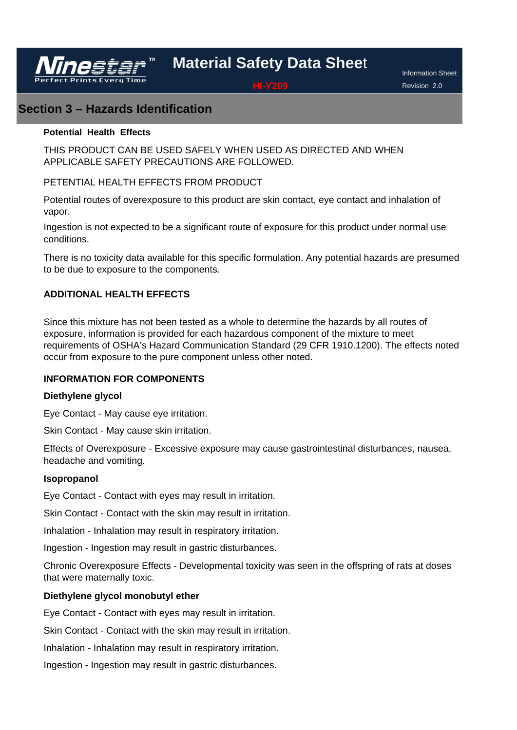

Information Sheet Revision 2.0

## **Section 3 – Hazards Identification**

## **Potential Health Effects**

THIS PRODUCT CAN BE USED SAFELY WHEN USED AS DIRECTED AND WHEN APPLICABLE SAFETY PRECAUTIONS ARE FOLLOWED.

## PETENTIAL HEALTH EFFECTS FROM PRODUCT

Potential routes of overexposure to this product are skin contact, eye contact and inhalation of vapor.

Ingestion is not expected to be a significant route of exposure for this product under normal use conditions.

There is no toxicity data available for this specific formulation. Any potential hazards are presumed to be due to exposure to the components.

## **ADDITIONAL HEALTH EFFECTS**

Since this mixture has not been tested as a whole to determine the hazards by all routes of exposure, information is provided for each hazardous component of the mixture to meet requirements of OSHA's Hazard Communication Standard (29 CFR 1910.1200). The effects noted occur from exposure to the pure component unless other noted.

## **INFORMATION FOR COMPONENTS**

## **Diethylene glycol**

Eye Contact - May cause eye irritation.

Skin Contact - May cause skin irritation.

Effects of Overexposure - Excessive exposure may cause gastrointestinal disturbances, nausea, headache and vomiting.

## **Isopropanol**

Eye Contact - Contact with eyes may result in irritation.

Skin Contact - Contact with the skin may result in irritation.

Inhalation - Inhalation may result in respiratory irritation.

Ingestion - Ingestion may result in gastric disturbances.

Chronic Overexposure Effects - Developmental toxicity was seen in the offspring of rats at doses that were maternally toxic.

## **Diethylene glycol monobutyl ether**

Eye Contact - Contact with eyes may result in irritation.

Skin Contact - Contact with the skin may result in irritation.

Inhalation - Inhalation may result in respiratory irritation.

Ingestion - Ingestion may result in gastric disturbances.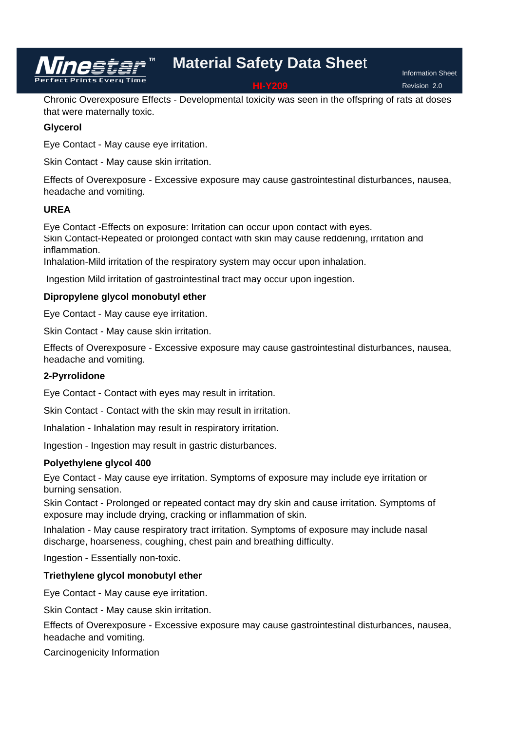Information Sheet Revision 2.0

Chronic Overexposure Effects - Developmental toxicity was seen in the offspring of rats at doses that were maternally toxic.

## **Glycerol**

Eye Contact - May cause eye irritation.

Skin Contact - May cause skin irritation.

Effects of Overexposure - Excessive exposure may cause gastrointestinal disturbances, nausea, headache and vomiting.

## **UREA**

Eye Contact -Effects on exposure: Irritation can occur upon contact with eyes. Skin Contact-Repeated or prolonged contact with skin may cause reddening, irritation and inflammation.

Inhalation-Mild irritation of the respiratory system may occur upon inhalation.

Ingestion Mild irritation of gastrointestinal tract may occur upon ingestion.

## **Dipropylene glycol monobutyl ether**

Eye Contact - May cause eye irritation.

Skin Contact - May cause skin irritation.

Effects of Overexposure - Excessive exposure may cause gastrointestinal disturbances, nausea, headache and vomiting.

## **2-Pyrrolidone**

Eye Contact - Contact with eyes may result in irritation.

Skin Contact - Contact with the skin may result in irritation.

Inhalation - Inhalation may result in respiratory irritation.

Ingestion - Ingestion may result in gastric disturbances.

## **Polyethylene glycol 400**

Eye Contact - May cause eye irritation. Symptoms of exposure may include eye irritation or burning sensation.

Skin Contact - Prolonged or repeated contact may dry skin and cause irritation. Symptoms of exposure may include drying, cracking or inflammation of skin.

Inhalation - May cause respiratory tract irritation. Symptoms of exposure may include nasal discharge, hoarseness, coughing, chest pain and breathing difficulty.

Ingestion - Essentially non-toxic.

## **Triethylene glycol monobutyl ether**

Eye Contact - May cause eye irritation.

Skin Contact - May cause skin irritation.

Effects of Overexposure - Excessive exposure may cause gastrointestinal disturbances, nausea, headache and vomiting.

Carcinogenicity Information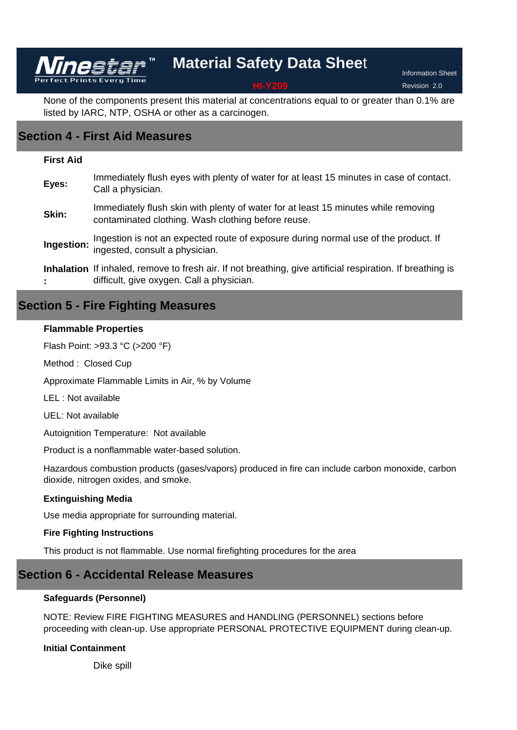Information Sheet Revision 2.0

None of the components present this material at concentrations equal to or greater than 0.1% are listed by IARC, NTP, OSHA or other as a carcinogen.

# **Section 4 - First Aid Measures**

Vīnestar

## **First Aid**

| Eyes: | Immediately flush eyes with plenty of water for at least 15 minutes in case of contact.<br>Call a physician.                                            |
|-------|---------------------------------------------------------------------------------------------------------------------------------------------------------|
| Skin: | Immediately flush skin with plenty of water for at least 15 minutes while removing<br>contaminated clothing. Wash clothing before reuse.                |
|       | Ingestion is not an expected route of exposure during normal use of the product. If<br>Ingestion: ingested, consult a physician.                        |
|       | Inhalation If inhaled, remove to fresh air. If not breathing, give artificial respiration. If breathing is<br>difficult, give oxygen. Call a physician. |

## **Section 5 - Fire Fighting Measures**

## **Flammable Properties**

Flash Point: >93.3 °C (>200 °F)

Method : Closed Cup

Approximate Flammable Limits in Air, % by Volume

LEL : Not available

UEL: Not available

Autoignition Temperature: Not available

Product is a nonflammable water-based solution.

Hazardous combustion products (gases/vapors) produced in fire can include carbon monoxide, carbon dioxide, nitrogen oxides, and smoke.

## **Extinguishing Media**

Use media appropriate for surrounding material.

## **Fire Fighting Instructions**

This product is not flammable. Use normal firefighting procedures for the area

# **Section 6 - Accidental Release Measures**

## **Safeguards (Personnel)**

NOTE: Review FIRE FIGHTING MEASURES and HANDLING (PERSONNEL) sections before proceeding with clean-up. Use appropriate PERSONAL PROTECTIVE EQUIPMENT during clean-up.

## **Initial Containment**

Dike spill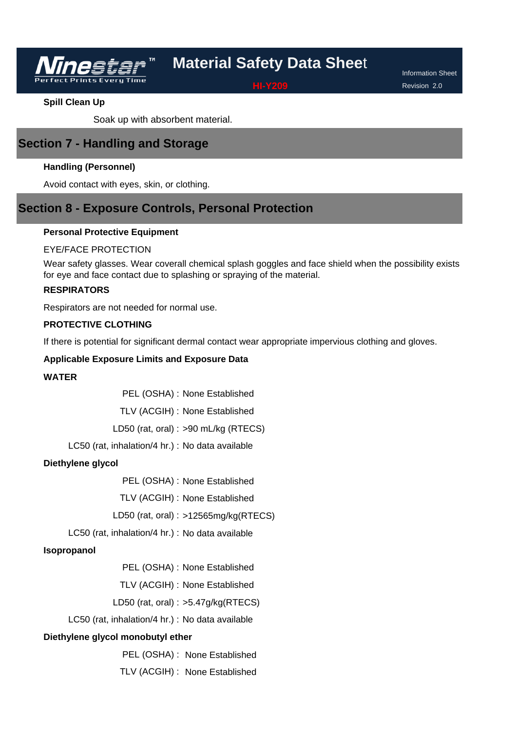

Information Sheet Revision 2.0

**Spill Clean Up**

Soak up with absorbent material.

# **Section 7 - Handling and Storage**

## **Handling (Personnel)**

Avoid contact with eyes, skin, or clothing.

# **Section 8 - Exposure Controls, Personal Protection**

## **Personal Protective Equipment**

## EYE/FACE PROTECTION

Wear safety glasses. Wear coverall chemical splash goggles and face shield when the possibility exists for eye and face contact due to splashing or spraying of the material.

## **RESPIRATORS**

Respirators are not needed for normal use.

## **PROTECTIVE CLOTHING**

If there is potential for significant dermal contact wear appropriate impervious clothing and gloves.

## **Applicable Exposure Limits and Exposure Data**

## **WATER**

PEL (OSHA) : None Established

TLV (ACGIH) : None Established

LD50 (rat, oral) : >90 mL/kg (RTECS)

LC50 (rat, inhalation/4 hr.) : No data available

## **Diethylene glycol**

PEL (OSHA) : None Established

TLV (ACGIH) : None Established

LD50 (rat, oral) : >12565mg/kg(RTECS)

LC50 (rat, inhalation/4 hr.) : No data available

## **Isopropanol**

PEL (OSHA) : None Established

TLV (ACGIH) : None Established

LD50 (rat, oral) : >5.47g/kg(RTECS)

LC50 (rat, inhalation/4 hr.) : No data available

### **Diethylene glycol monobutyl ether**

PEL (OSHA) : None Established

TLV (ACGIH) : None Established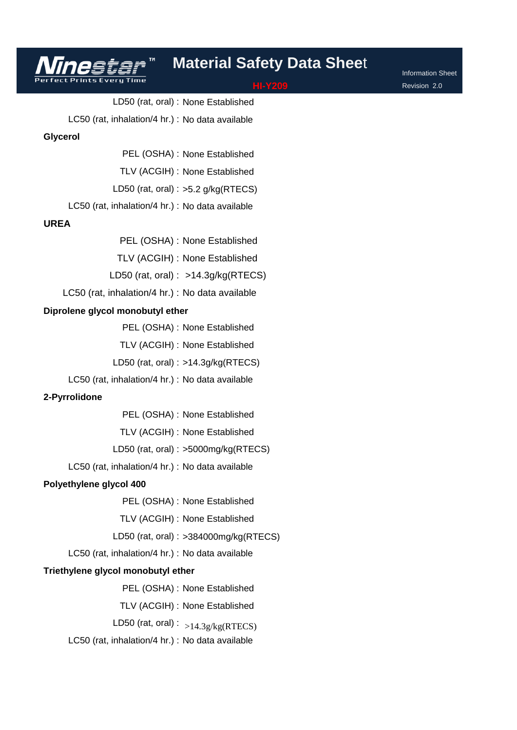Information Sheet Revision 2.0

LD50 (rat, oral) : None Established LC50 (rat, inhalation/4 hr.) : No data available PEL (OSHA) : None Established TLV (ACGIH) : None Established **Glycerol**

LD50 (rat, oral) :  $>5.2$  g/kg(RTECS)

LC50 (rat, inhalation/4 hr.) : No data available

## **UREA**

PEL (OSHA) : None Established

TLV (ACGIH) : None Established

LD50 (rat, oral) : >14.3g/kg(RTECS)

LC50 (rat, inhalation/4 hr.) : No data available

### **Diprolene glycol monobutyl ether**

PEL (OSHA) : None Established

TLV (ACGIH) : None Established

LD50 (rat, oral) : >14.3g/kg(RTECS)

LC50 (rat, inhalation/4 hr.) : No data available

## **2-Pyrrolidone**

PEL (OSHA) : None Established

TLV (ACGIH) : None Established

LD50 (rat, oral) : >5000mg/kg(RTECS)

LC50 (rat, inhalation/4 hr.) : No data available

### **Polyethylene glycol 400**

PEL (OSHA) : None Established

TLV (ACGIH) : None Established

LD50 (rat, oral) : >384000mg/kg(RTECS)

LC50 (rat, inhalation/4 hr.) : No data available

### **Triethylene glycol monobutyl ether**

PEL (OSHA) : None Established

TLV (ACGIH) : None Established

LD50 (rat, oral) :  $_{>14.3g/kg(RTECS)}$ 

LC50 (rat, inhalation/4 hr.) : No data available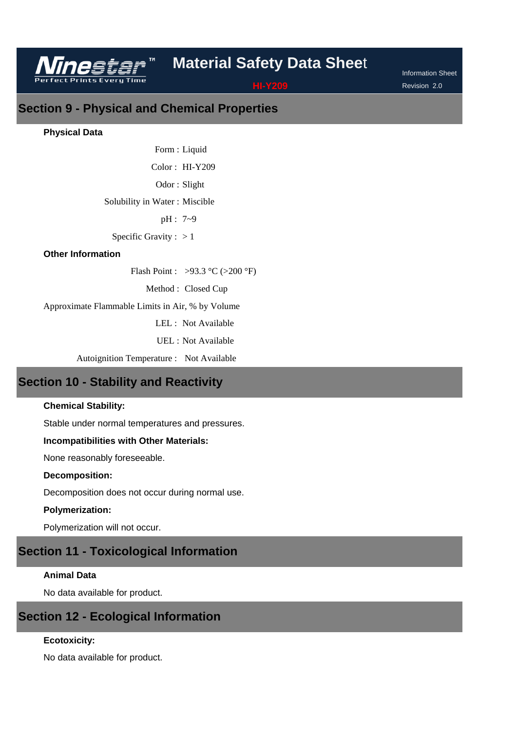

Information Sheet Revision 2.0

**Section 9 - Physical and Chemical Properties** 

## **Physical Data**

Form : Liquid Color: HI-Y209 Odor: Slight Solubility in Water : Miscible pH : 7~9 Specific Gravity :  $> 1$ 

## **Other Information**

Flash Point : >93.3 °C (>200 °F)

Method : Closed Cup

Approximate Flammable Limits in Air, % by Volume

LEL : Not Available

UEL : Not Available

Autoignition Temperature : Not Available

# **Section 10 - Stability and Reactivity**

## **Chemical Stability:**

Stable under normal temperatures and pressures.

## **Incompatibilities with Other Materials:**

None reasonably foreseeable.

### **Decomposition:**

Decomposition does not occur during normal use.

## **Polymerization:**

Polymerization will not occur.

# **Section 11 - Toxicological Information**

## **Animal Data**

No data available for product.

## **Section 12 - Ecological Information**

## **Ecotoxicity:**

No data available for product.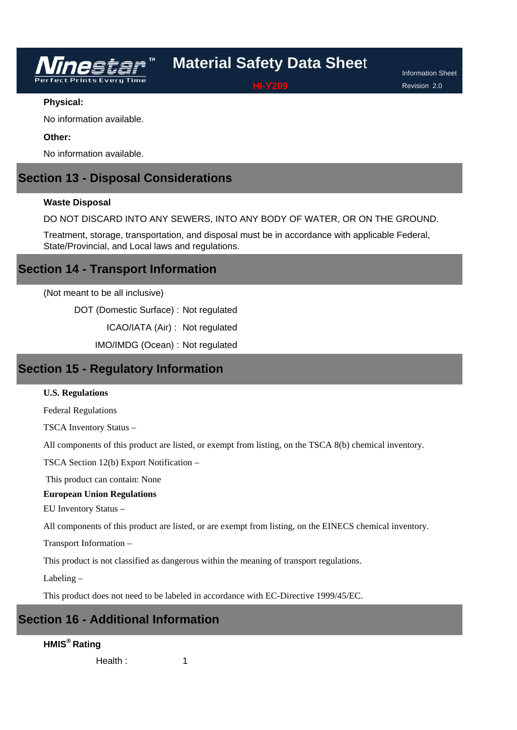

Information Sheet Revision 2.0

## **Physical:**

No information available.

## **Other:**

No information available.

## **Section 13 - Disposal Considerations**

## **Waste Disposal**

DO NOT DISCARD INTO ANY SEWERS, INTO ANY BODY OF WATER, OR ON THE GROUND.

Treatment, storage, transportation, and disposal must be in accordance with applicable Federal, State/Provincial, and Local laws and regulations.

## **Section 14 - Transport Information**

(Not meant to be all inclusive)

DOT (Domestic Surface) : Not regulated

ICAO/IATA (Air) : Not regulated

IMO/IMDG (Ocean) : Not regulated

## **Section 15 - Regulatory Information**

### **U.S. Regulations**

Federal Regulations

TSCA Inventory Status –

All components of this product are listed, or exempt from listing, on the TSCA 8(b) chemical inventory.

TSCA Section 12(b) Export Notification –

This product can contain: None

## **European Union Regulations**

EU Inventory Status –

All components of this product are listed, or are exempt from listing, on the EINECS chemical inventory.

Transport Information –

This product is not classified as dangerous within the meaning of transport regulations.

Labeling –

This product does not need to be labeled in accordance with EC-Directive 1999/45/EC.

1

# **Section 16 - Additional Information**

## **HMIS® Rating**

Health :